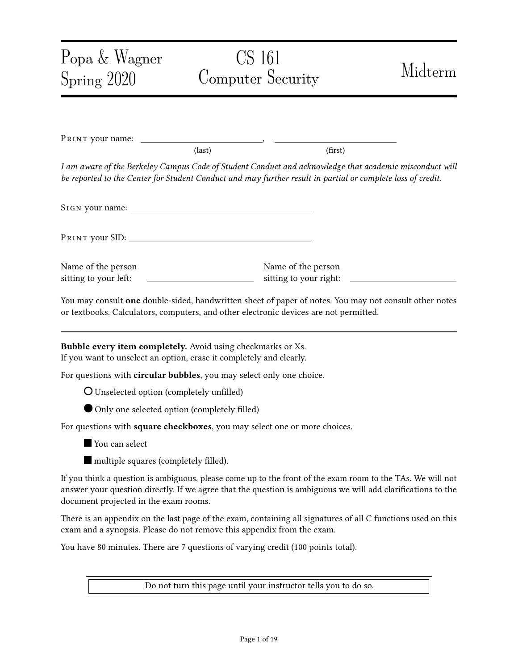# Popa & Wagner Spring 2020 CS 161 Computer Security Midterm PRINT your name:  $\text{(last)}$  (first) I am aware of the Berkeley Campus Code of Student Conduct and acknowledge that academic misconduct will be reported to the Center for Student Conduct and may further result in partial or complete loss of credit. SIGN your name: Pr int your SID: Name of the person sitting to your left: Name of the person sitting to your right: You may consult one double-sided, handwritten sheet of paper of notes. You may not consult other notes or textbooks. Calculators, computers, and other electronic devices are not permitted. Bubble every item completely. Avoid using checkmarks or Xs. If you want to unselect an option, erase it completely and clearly. For questions with circular bubbles, you may select only one choice. **O** Unselected option (completely unfilled) Only one selected option (completely filled) For questions with square checkboxes, you may select one or more choices. **You can select**  $\blacksquare$  multiple squares (completely filled). If you think a question is ambiguous, please come up to the front of the exam room to the TAs. We will not answer your question directly. If we agree that the question is ambiguous we will add clarifications to the document projected in the exam rooms. There is an appendix on the last page of the exam, containing all signatures of all C functions used on this exam and a synopsis. Please do not remove this appendix from the exam. You have 80 minutes. There are 7 questions of varying credit (100 points total).

Do not turn this page until your instructor tells you to do so.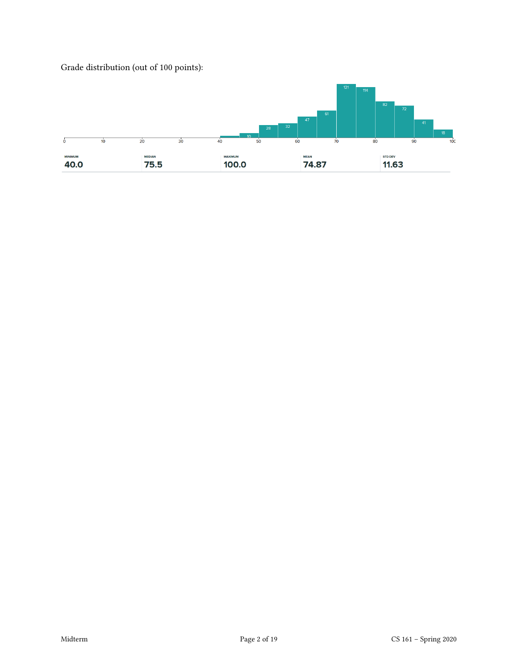Grade distribution (out of 100 points):

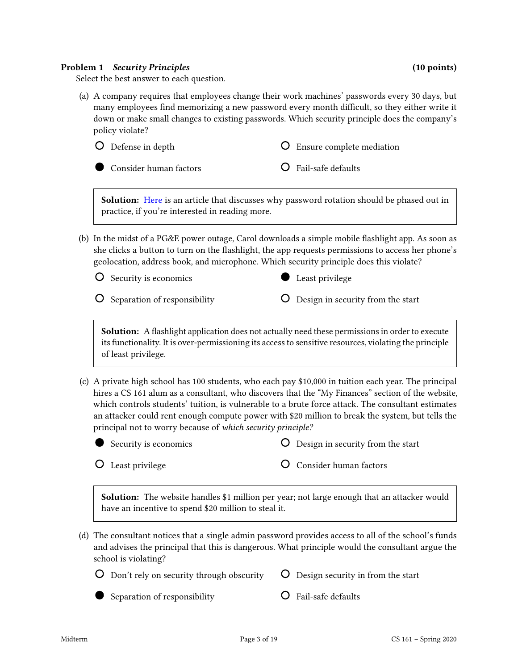#### Problem 1 Security Principles (10 points) (10 points)

Select the best answer to each question.

(a) A company requires that employees change their work machines' passwords every 30 days, but many employees find memorizing a new password every month difficult, so they either write it down or make small changes to existing passwords. Which security principle does the company's policy violate?





Consider human factors

Fail-safe defaults

Solution: [Here](https://www.ftc.gov/news-events/blogs/techftc/2016/03/time-rethink-mandatory-password-changes) is an article that discusses why password rotation should be phased out in practice, if you're interested in reading more.

(b) In the midst of a PG&E power outage, Carol downloads a simple mobile flashlight app. As soon as she clicks a button to turn on the flashlight, the app requests permissions to access her phone's geolocation, address book, and microphone. Which security principle does this violate?

O Security is economics

- **O** Separation of responsibility
- **Least privilege**
- Design in security from the start

Solution: A flashlight application does not actually need these permissions in order to execute its functionality. It is over-permissioning its access to sensitive resources, violating the principle of least privilege.

(c) A private high school has 100 students, who each pay \$10,000 in tuition each year. The principal hires a CS 161 alum as a consultant, who discovers that the "My Finances" section of the website, which controls students' tuition, is vulnerable to a brute force attack. The consultant estimates an attacker could rent enough compute power with \$20 million to break the system, but tells the principal not to worry because of which security principle?



Design in security from the start

Least privilege

Consider human factors

Solution: The website handles \$1 million per year; not large enough that an attacker would have an incentive to spend \$20 million to steal it.

(d) The consultant notices that a single admin password provides access to all of the school's funds and advises the principal that this is dangerous. What principle would the consultant argue the school is violating?

| $\overline{O}$ Don't rely on security through obscurity $\overline{O}$ Design security in from the start |  |
|----------------------------------------------------------------------------------------------------------|--|
|                                                                                                          |  |



Fail-safe defaults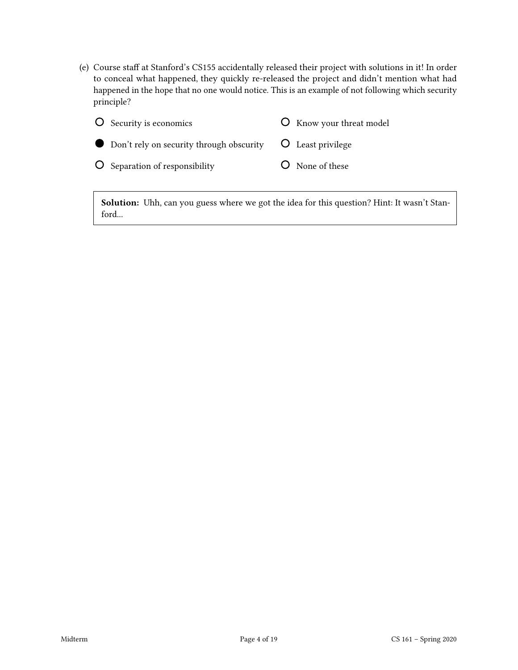(e) Course staff at Stanford's CS155 accidentally released their project with solutions in it! In order to conceal what happened, they quickly re-released the project and didn't mention what had happened in the hope that no one would notice. This is an example of not following which security principle?

| O Security is economics                                        | <b>O</b> Know your threat model |
|----------------------------------------------------------------|---------------------------------|
| • Don't rely on security through obscurity • O Least privilege |                                 |
| O Separation of responsibility                                 | O None of these                 |

Solution: Uhh, can you guess where we got the idea for this question? Hint: It wasn't Stanford...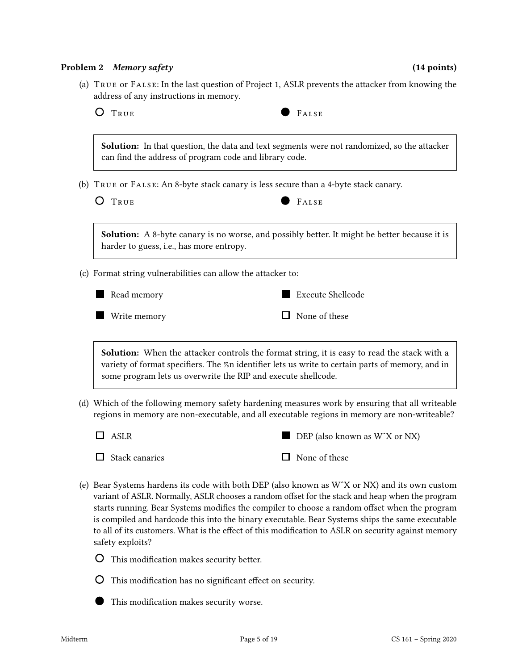#### Problem 2 Memory safety (14 points) (14 points)

(a) True or False: In the last question of Project 1, ASLR prevents the attacker from knowing the address of any instructions in memory.



Solution: In that question, the data and text segments were not randomized, so the attacker can find the address of program code and library code.

(b) True or False: An 8-byte stack canary is less secure than a 4-byte stack canary.

| × |     |
|---|-----|
| i |     |
|   | - - |
|   |     |

 $F_{\text{ALSE}}$ 

Solution: A 8-byte canary is no worse, and possibly better. It might be better because it is harder to guess, i.e., has more entropy.

(c) Format string vulnerabilities can allow the attacker to:



**Write memory** Execute Shellcode  $\Box$  None of these

Solution: When the attacker controls the format string, it is easy to read the stack with a variety of format specifiers. The %n identifier lets us write to certain parts of memory, and in some program lets us overwrite the RIP and execute shellcode.

- (d) Which of the following memory safety hardening measures work by ensuring that all writeable regions in memory are non-executable, and all executable regions in memory are non-writeable?
	- $\Box$  ASLR  $\Box$  Stack canaries  $\blacksquare$  DEP (also known as W $\mathsf{X}$  or NX)  $\Box$  None of these
- (e) Bear Systems hardens its code with both DEP (also known as WˆX or NX) and its own custom variant of ASLR. Normally, ASLR chooses a random offset for the stack and heap when the program starts running. Bear Systems modifies the compiler to choose a random offset when the program is compiled and hardcode this into the binary executable. Bear Systems ships the same executable to all of its customers. What is the effect of this modification to ASLR on security against memory safety exploits?
	- **O** This modification makes security better.
	- $\overline{O}$  This modification has no significant effect on security.
	- $\blacksquare$  This modification makes security worse.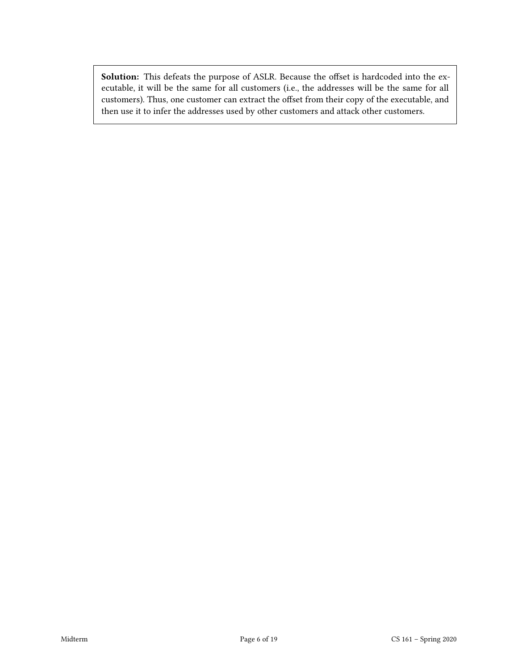Solution: This defeats the purpose of ASLR. Because the offset is hardcoded into the executable, it will be the same for all customers (i.e., the addresses will be the same for all customers). Thus, one customer can extract the offset from their copy of the executable, and then use it to infer the addresses used by other customers and attack other customers.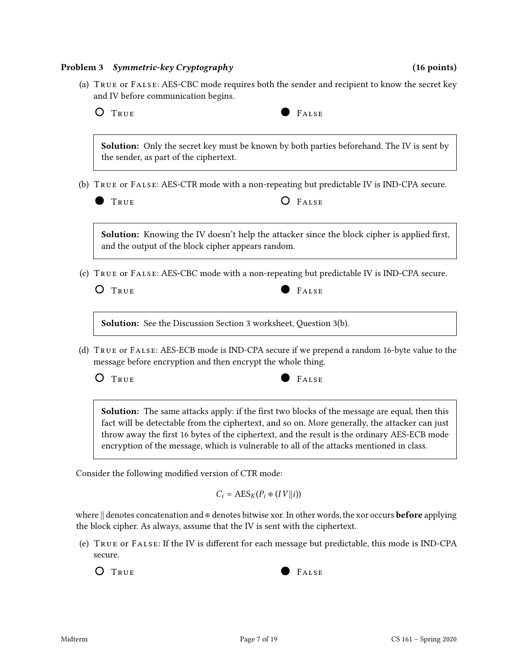#### Problem 3 Symmetric-key Cryptography (16 points) (16 points)

| ٦<br>,<br>- - |
|---------------|
|               |



Solution: Only the secret key must be known by both parties beforehand. The IV is sent by the sender, as part of the ciphertext.

(b) True or False: AES-CTR mode with a non-repeating but predictable IV is IND-CPA secure.

| TRUE |  |  |  |
|------|--|--|--|

Solution: Knowing the IV doesn't help the attacker since the block cipher is applied first, and the output of the block cipher appears random.

(c) True or False: AES-CBC mode with a non-repeating but predictable IV is IND-CPA secure.



 $O$  FALSE

Solution: See the Discussion Section 3 worksheet, Question 3(b).

(d) True or False: AES-ECB mode is IND-CPA secure if we prepend a random 16-byte value to the message before encryption and then encrypt the whole thing.

O TRUE PALSE



Solution: The same attacks apply: if the first two blocks of the message are equal, then this fact will be detectable from the ciphertext, and so on. More generally, the attacker can just throw away the first 16 bytes of the ciphertext, and the result is the ordinary AES-ECB mode encryption of the message, which is vulnerable to all of the attacks mentioned in class.

Consider the following modified version of CTR mode:

 $C_i = \text{AES}_K(P_i \oplus (IV||i))$ 

where  $\|$  denotes concatenation and ⊕ denotes bitwise xor. In other words, the xor occurs **before** applying the block cipher. As always, assume that the IV is sent with the ciphertext.

(e) TRUE OF FALSE: If the IV is different for each message but predictable, this mode is IND-CPA secure.

O TRUE PALSE

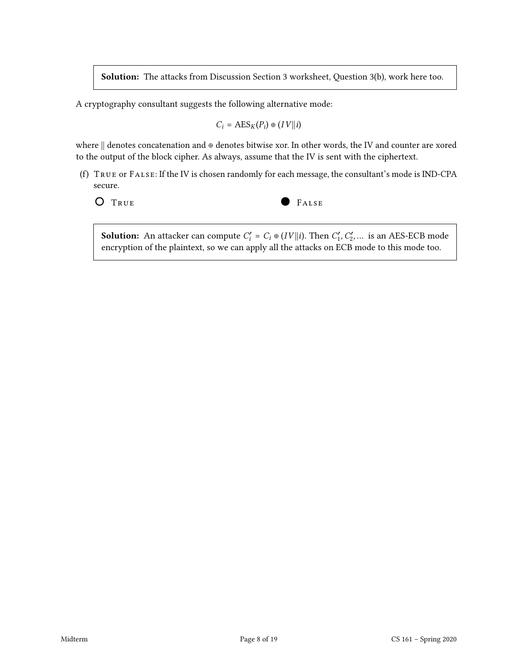Solution: The attacks from Discussion Section 3 worksheet, Question 3(b), work here too.

A cryptography consultant suggests the following alternative mode:

$$
C_i = \text{AES}_K(P_i) \oplus (IV||i)
$$

where || denotes concatenation and ⊕ denotes bitwise xor. In other words, the IV and counter are xored to the output of the block cipher. As always, assume that the IV is sent with the ciphertext.

(f) True or False: If the IV is chosen randomly for each message, the consultant's mode is IND-CPA secure.

O TRUE PALSE

**Solution:** An attacker can compute  $C_i' = C_i \oplus (IV||i)$ . Then  $C_1', C_2', \dots$  is an AES-ECB mode encryption of the plaintext, so we can apply all the attacks on ECB mode to this mode too.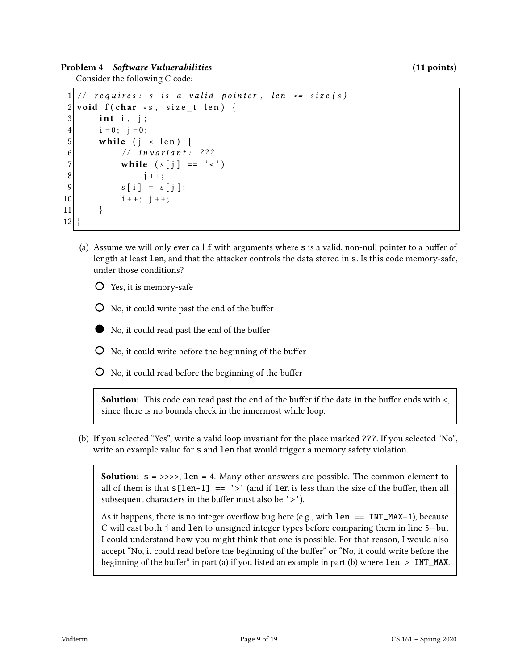Problem 4 Software Vulnerabilities (11 points) (11 points)

Consider the following C code:

```
1 \mid \text{/} \text{/} requires: s is a valid pointer, len \leq size(s)2 void f (char *s, size_t len) {
3 int i, j;
4 i = 0; j = 0;5 while (j < len) {
6 // invariant: ???
7 while (s[j] == ' <')8 \mid i++;9 s[i] = s[j];10 i + +; j + +;
11 }
12 }
```
- (a) Assume we will only ever call  $f$  with arguments where  $s$  is a valid, non-null pointer to a buffer of length at least len, and that the attacker controls the data stored in s. Is this code memory-safe, under those conditions?
	- Yes, it is memory-safe
	- $\overline{O}$  No, it could write past the end of the buffer
	- $\blacksquare$  No, it could read past the end of the buffer
	- $\overline{O}$  No, it could write before the beginning of the buffer
	- $\overline{O}$  No, it could read before the beginning of the buffer

Solution: This code can read past the end of the buffer if the data in the buffer ends with  $\lt$ , since there is no bounds check in the innermost while loop.

(b) If you selected "Yes", write a valid loop invariant for the place marked ???. If you selected "No", write an example value for s and len that would trigger a memory safety violation.

**Solution:**  $s = \gg\gg$ , len = 4. Many other answers are possible. The common element to all of them is that  $s[len-1] == '> '$  (and if len is less than the size of the buffer, then all subsequent characters in the buffer must also be  $\geq$ .

As it happens, there is no integer overflow bug here (e.g., with  $len == INT\_MAX+1$ ), because C will cast both j and len to unsigned integer types before comparing them in line 5—but I could understand how you might think that one is possible. For that reason, I would also accept "No, it could read before the beginning of the buffer" or "No, it could write before the beginning of the buffer" in part (a) if you listed an example in part (b) where  $len > INT\_MAX$ .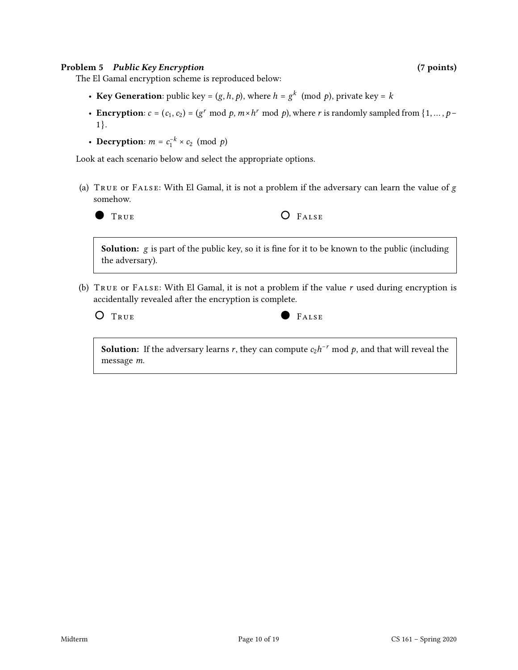#### Problem 5 Public Key Encryption (7 points) (7 points)

The El Gamal encryption scheme is reproduced below:

- Key Generation: public key =  $(g, h, p)$ , where  $h = g^k \pmod{p}$ , private key = k
- Encryption:  $c = (c_1, c_2) = (g^r \mod p, m \times h^r \mod p)$ , where r is randomly sampled from  $\{1, ..., p -$ 1}.
- Decryption:  $m = c_1^{-k} \times c_2 \pmod{p}$

Look at each scenario below and select the appropriate options.

(a)  $T_{RUE}$  or  $F_{AUSE}$ : With El Gamal, it is not a problem if the adversary can learn the value of  $g$ somehow.



TRUE **O** FALSE

**Solution:**  $g$  is part of the public key, so it is fine for it to be known to the public (including the adversary).

(b) TRUE OF FALSE: With El Gamal, it is not a problem if the value  $r$  used during encryption is accidentally revealed after the encryption is complete.

 $O$   $T_{RUE}$   $F$ 

| ALS<br>Đ.<br>× |  |
|----------------|--|
|                |  |

**Solution:** If the adversary learns r, they can compute  $c_2h^{-r}$  mod p, and that will reveal the message m.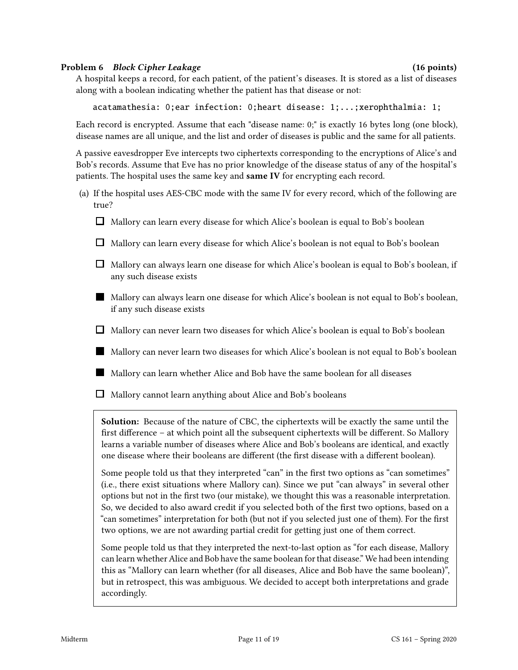#### Problem 6 Block Cipher Leakage (16 points) (16 points)

A hospital keeps a record, for each patient, of the patient's diseases. It is stored as a list of diseases along with a boolean indicating whether the patient has that disease or not:

acatamathesia: 0;ear infection: 0;heart disease: 1;...;xerophthalmia: 1;

Each record is encrypted. Assume that each "disease name: 0;" is exactly 16 bytes long (one block), disease names are all unique, and the list and order of diseases is public and the same for all patients.

A passive eavesdropper Eve intercepts two ciphertexts corresponding to the encryptions of Alice's and Bob's records. Assume that Eve has no prior knowledge of the disease status of any of the hospital's patients. The hospital uses the same key and same IV for encrypting each record.

- (a) If the hospital uses AES-CBC mode with the same IV for every record, which of the following are true?
	- $\Box$  Mallory can learn every disease for which Alice's boolean is equal to Bob's boolean
	- $\Box$  Mallory can learn every disease for which Alice's boolean is not equal to Bob's boolean
	- $\Box$  Mallory can always learn one disease for which Alice's boolean is equal to Bob's boolean, if any such disease exists
	- Mallory can always learn one disease for which Alice's boolean is not equal to Bob's boolean, if any such disease exists
	- $\Box$  Mallory can never learn two diseases for which Alice's boolean is equal to Bob's boolean
	- Mallory can never learn two diseases for which Alice's boolean is not equal to Bob's boolean
	- Mallory can learn whether Alice and Bob have the same boolean for all diseases
	- $\Box$  Mallory cannot learn anything about Alice and Bob's booleans

Solution: Because of the nature of CBC, the ciphertexts will be exactly the same until the first difference – at which point all the subsequent ciphertexts will be different. So Mallory learns a variable number of diseases where Alice and Bob's booleans are identical, and exactly one disease where their booleans are different (the first disease with a different boolean).

Some people told us that they interpreted "can" in the first two options as "can sometimes" (i.e., there exist situations where Mallory can). Since we put "can always" in several other options but not in the first two (our mistake), we thought this was a reasonable interpretation. So, we decided to also award credit if you selected both of the first two options, based on a "can sometimes" interpretation for both (but not if you selected just one of them). For the first two options, we are not awarding partial credit for getting just one of them correct.

Some people told us that they interpreted the next-to-last option as "for each disease, Mallory can learn whether Alice and Bob have the same boolean for that disease." We had been intending this as "Mallory can learn whether (for all diseases, Alice and Bob have the same boolean)", but in retrospect, this was ambiguous. We decided to accept both interpretations and grade accordingly.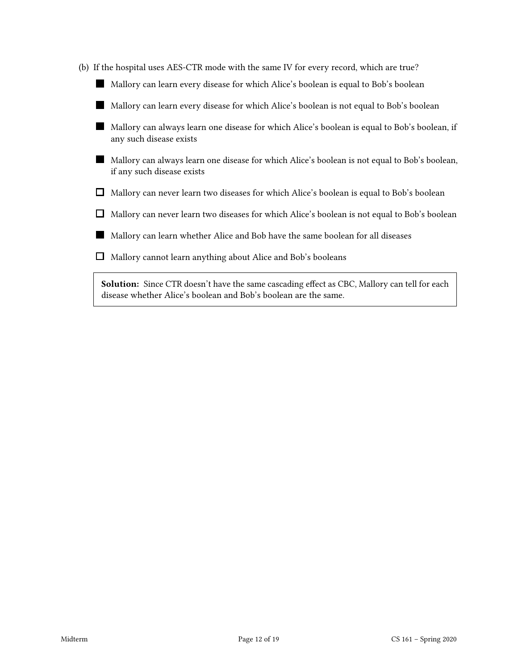| (b) If the hospital uses AES-CTR mode with the same IV for every record, which are true?                                                                               |
|------------------------------------------------------------------------------------------------------------------------------------------------------------------------|
| Mallory can learn every disease for which Alice's boolean is equal to Bob's boolean                                                                                    |
| Mallory can learn every disease for which Alice's boolean is not equal to Bob's boolean                                                                                |
| Mallory can always learn one disease for which Alice's boolean is equal to Bob's boolean, if<br>any such disease exists                                                |
| Mallory can always learn one disease for which Alice's boolean is not equal to Bob's boolean,<br>if any such disease exists                                            |
| Mallory can never learn two diseases for which Alice's boolean is equal to Bob's boolean                                                                               |
| Mallory can never learn two diseases for which Alice's boolean is not equal to Bob's boolean                                                                           |
| Mallory can learn whether Alice and Bob have the same boolean for all diseases                                                                                         |
| Mallory cannot learn anything about Alice and Bob's booleans                                                                                                           |
| <b>Solution:</b> Since CTR doesn't have the same cascading effect as CBC, Mallory can tell for each<br>disease whether Alice's boolean and Bob's boolean are the same. |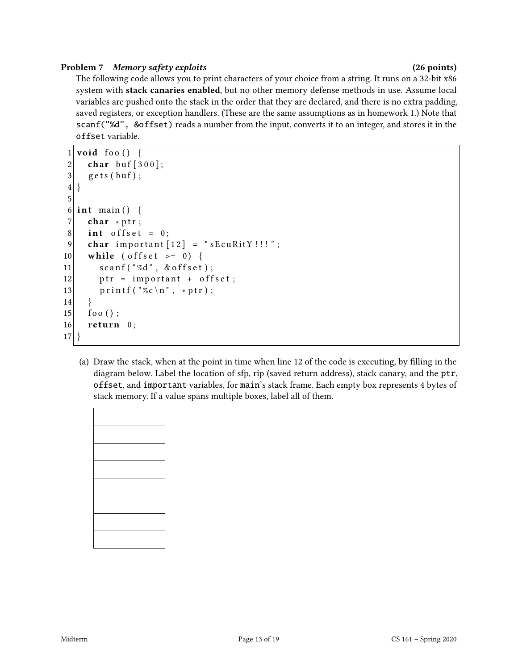### Problem 7 Memory safety exploits (26 points) (26 points)

The following code allows you to print characters of your choice from a string. It runs on a 32-bit x86 system with stack canaries enabled, but no other memory defense methods in use. Assume local variables are pushed onto the stack in the order that they are declared, and there is no extra padding, saved registers, or exception handlers. (These are the same assumptions as in homework 1.) Note that scanf("%d", &offset) reads a number from the input, converts it to an integer, and stores it in the offset variable.

```
1 void foo () {
2 char buf [300];
3 \mid gets (buf);
4 }
5
6 int main () {
7 char * ptr;
8 int offset = 0;
9 char important [12] = "sEcuRitY!!";
10 while ( offset >= 0) {
11 scanf ("%d", & offset);
12 ptr = important + offset;
13 printf ("\%c\n', *ptr);
14 }
15 foo ();
16 return 0;
17 }
```
(a) Draw the stack, when at the point in time when line 12 of the code is executing, by lling in the diagram below. Label the location of sfp, rip (saved return address), stack canary, and the ptr, offset, and important variables, for main's stack frame. Each empty box represents 4 bytes of stack memory. If a value spans multiple boxes, label all of them.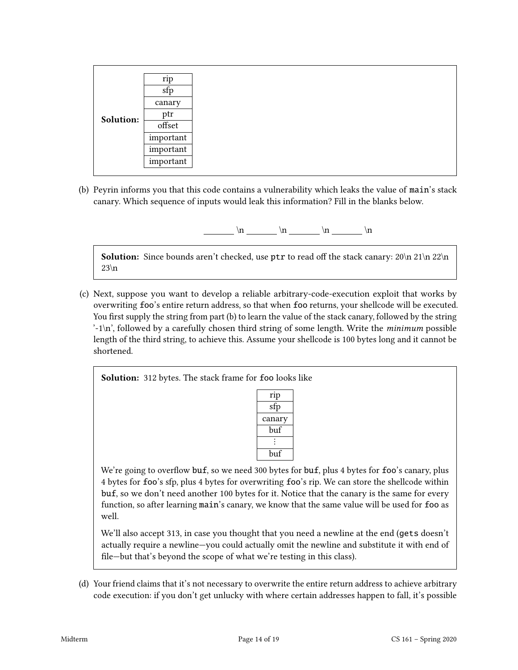|           | rip       |
|-----------|-----------|
|           | sfp       |
|           | canary    |
| Solution: | ptr       |
|           | offset    |
|           | important |
|           | important |
|           | important |

(b) Peyrin informs you that this code contains a vulnerability which leaks the value of main's stack canary. Which sequence of inputs would leak this information? Fill in the blanks below.

 $\ln \quad \ln \quad \ln$ 

**Solution:** Since bounds aren't checked, use  $ptr$  to read off the stack canary:  $20\ln 21\ln 22\ln$  $23\ln$ 

(c) Next, suppose you want to develop a reliable arbitrary-code-execution exploit that works by overwriting foo's entire return address, so that when foo returns, your shellcode will be executed. You first supply the string from part (b) to learn the value of the stack canary, followed by the string  $\cdot$ -1\n', followed by a carefully chosen third string of some length. Write the *minimum* possible length of the third string, to achieve this. Assume your shellcode is 100 bytes long and it cannot be shortened.

Solution: 312 bytes. The stack frame for foo looks like

| rip    |
|--------|
| sfp    |
| canary |
| buf    |
|        |
| buf    |

We're going to overflow buf, so we need 300 bytes for buf, plus 4 bytes for foo's canary, plus 4 bytes for foo's sfp, plus 4 bytes for overwriting foo's rip. We can store the shellcode within buf, so we don't need another 100 bytes for it. Notice that the canary is the same for every function, so after learning main's canary, we know that the same value will be used for foo as well.

We'll also accept 313, in case you thought that you need a newline at the end (gets doesn't actually require a newline—you could actually omit the newline and substitute it with end of file—but that's beyond the scope of what we're testing in this class).

(d) Your friend claims that it's not necessary to overwrite the entire return address to achieve arbitrary code execution: if you don't get unlucky with where certain addresses happen to fall, it's possible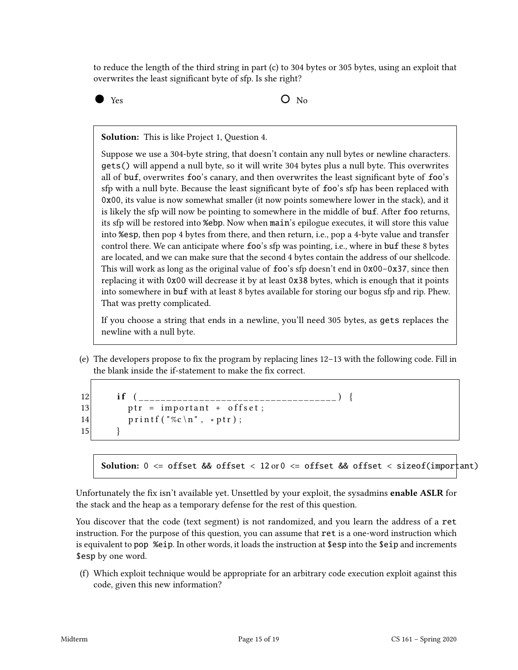to reduce the length of the third string in part (c) to 304 bytes or 305 bytes, using an exploit that overwrites the least significant byte of sfp. Is she right?

 $Y$ es  $O$  No

Solution: This is like Project 1, Question 4.

Suppose we use a 304-byte string, that doesn't contain any null bytes or newline characters. gets() will append a null byte, so it will write 304 bytes plus a null byte. This overwrites all of buf, overwrites foo's canary, and then overwrites the least signicant byte of foo's sfp with a null byte. Because the least significant byte of foo's sfp has been replaced with 0x00, its value is now somewhat smaller (it now points somewhere lower in the stack), and it is likely the sfp will now be pointing to somewhere in the middle of buf. After foo returns, its sfp will be restored into %ebp. Now when main's epilogue executes, it will store this value into %esp, then pop 4 bytes from there, and then return, i.e., pop a 4-byte value and transfer control there. We can anticipate where foo's sfp was pointing, i.e., where in buf these 8 bytes are located, and we can make sure that the second 4 bytes contain the address of our shellcode. This will work as long as the original value of foo's sfp doesn't end in 0x00–0x37, since then replacing it with 0x00 will decrease it by at least 0x38 bytes, which is enough that it points into somewhere in buf with at least 8 bytes available for storing our bogus sfp and rip. Phew. That was pretty complicated.

If you choose a string that ends in a newline, you'll need 305 bytes, as gets replaces the newline with a null byte.

(e) The developers propose to fix the program by replacing lines  $12-13$  with the following code. Fill in the blank inside the if-statement to make the fix correct.

```
12 if (13 ptr = important + offset;
14 printf ("\%c\n' , *ptr);15 }
```
Solution: 0 <= offset && offset < 12 or 0 <= offset && offset < sizeof(important)

Unfortunately the fix isn't available yet. Unsettled by your exploit, the sysadmins enable ASLR for the stack and the heap as a temporary defense for the rest of this question.

You discover that the code (text segment) is not randomized, and you learn the address of a ret instruction. For the purpose of this question, you can assume that ret is a one-word instruction which is equivalent to pop %eip. In other words, it loads the instruction at \$esp into the \$eip and increments \$esp by one word.

(f) Which exploit technique would be appropriate for an arbitrary code execution exploit against this code, given this new information?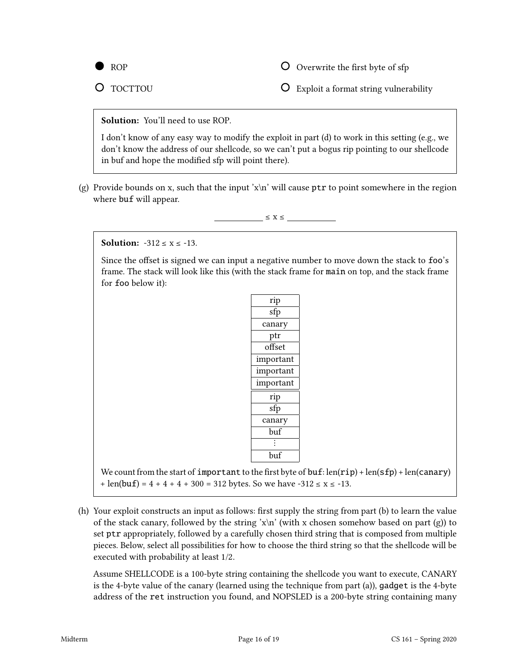

 $\overline{O}$  Overwrite the first byte of sfp

O TOCTTOU

Exploit a format string vulnerability

### Solution: You'll need to use ROP.

I don't know of any easy way to modify the exploit in part (d) to work in this setting (e.g., we don't know the address of our shellcode, so we can't put a bogus rip pointing to our shellcode in buf and hope the modified sfp will point there).

(g) Provide bounds on x, such that the input 'x\n' will cause  $ptr$  to point somewhere in the region where buf will appear.

 $\leq X \leq$ 

**Solution:**  $-312 \le x \le -13$ .

Since the offset is signed we can input a negative number to move down the stack to foo's frame. The stack will look like this (with the stack frame for main on top, and the stack frame for foo below it):

| rip             |
|-----------------|
| sfp             |
| canary          |
| ptr             |
| offset          |
| important       |
| important       |
| important       |
| rip             |
| sfp             |
| canary          |
| $_{\text{buf}}$ |
| $\ddot{\cdot}$  |
| buf             |

We count from the start of important to the first byte of buf:  $len(rip) + len(sfp) + len(canary)$ + len(buf) =  $4 + 4 + 4 + 300 = 312$  bytes. So we have  $-312 \le x \le -13$ .

(h) Your exploit constructs an input as follows: first supply the string from part (b) to learn the value of the stack canary, followed by the string 'x\n' (with x chosen somehow based on part (g)) to set ptr appropriately, followed by a carefully chosen third string that is composed from multiple pieces. Below, select all possibilities for how to choose the third string so that the shellcode will be executed with probability at least 1/2.

Assume SHELLCODE is a 100-byte string containing the shellcode you want to execute, CANARY is the 4-byte value of the canary (learned using the technique from part (a)), gadget is the 4-byte address of the ret instruction you found, and NOPSLED is a 200-byte string containing many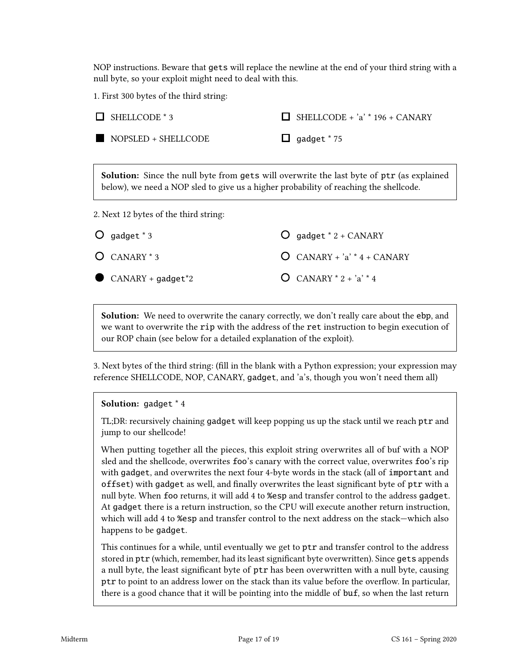NOP instructions. Beware that gets will replace the newline at the end of your third string with a null byte, so your exploit might need to deal with this.

1. First 300 bytes of the third string:

| SHELLCODE * 3                         | $SHELLCODE + 'a' * 196 + CANARY$                                                                                                                                                          |
|---------------------------------------|-------------------------------------------------------------------------------------------------------------------------------------------------------------------------------------------|
| NOPSLED + SHELLCODE                   | gadget * 75                                                                                                                                                                               |
|                                       | <b>Solution:</b> Since the null byte from gets will overwrite the last byte of ptr (as explained<br>below), we need a NOP sled to give us a higher probability of reaching the shellcode. |
| 2. Next 12 bytes of the third string: |                                                                                                                                                                                           |
| gadget * 3<br>$\circ$                 | gadget * 2 + CANARY                                                                                                                                                                       |
| $O$ CANARY $*$ 3                      | $CANARY + 'a' * 4 + CANARY$                                                                                                                                                               |

Solution: We need to overwrite the canary correctly, we don't really care about the ebp, and we want to overwrite the rip with the address of the ret instruction to begin execution of our ROP chain (see below for a detailed explanation of the exploit).

 $O$  CANARY  $*$  2 +  $a$ <sup> $*$ </sup> 4

3. Next bytes of the third string: (fill in the blank with a Python expression; your expression may reference SHELLCODE, NOP, CANARY, gadget, and 'a's, though you won't need them all)

#### Solution: gadget \* 4

CANARY + gadget\*2

TL;DR: recursively chaining gadget will keep popping us up the stack until we reach ptr and jump to our shellcode!

When putting together all the pieces, this exploit string overwrites all of buf with a NOP sled and the shellcode, overwrites foo's canary with the correct value, overwrites foo's rip with gadget, and overwrites the next four 4-byte words in the stack (all of important and offset) with gadget as well, and finally overwrites the least significant byte of ptr with a null byte. When foo returns, it will add 4 to %esp and transfer control to the address gadget. At gadget there is a return instruction, so the CPU will execute another return instruction, which will add 4 to %esp and transfer control to the next address on the stack—which also happens to be gadget.

This continues for a while, until eventually we get to ptr and transfer control to the address stored in ptr (which, remember, had its least significant byte overwritten). Since gets appends a null byte, the least signicant byte of ptr has been overwritten with a null byte, causing ptr to point to an address lower on the stack than its value before the overflow. In particular, there is a good chance that it will be pointing into the middle of buf, so when the last return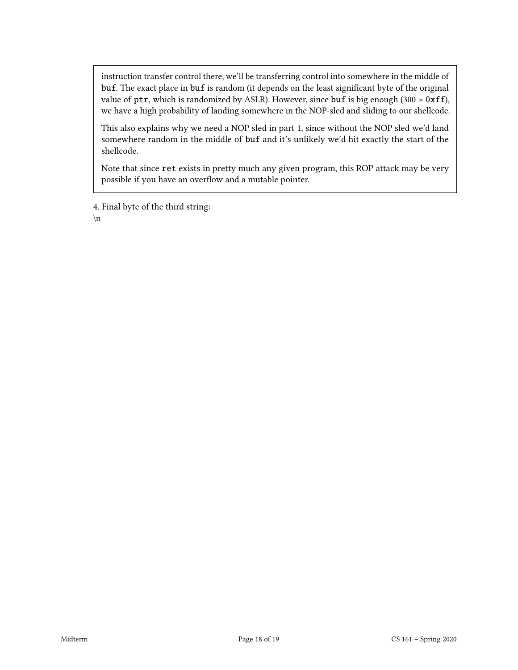instruction transfer control there, we'll be transferring control into somewhere in the middle of buf. The exact place in buf is random (it depends on the least significant byte of the original value of ptr, which is randomized by ASLR). However, since buf is big enough (300 > 0xff), we have a high probability of landing somewhere in the NOP-sled and sliding to our shellcode.

This also explains why we need a NOP sled in part 1, since without the NOP sled we'd land somewhere random in the middle of buf and it's unlikely we'd hit exactly the start of the shellcode.

Note that since ret exists in pretty much any given program, this ROP attack may be very possible if you have an overflow and a mutable pointer.

4. Final byte of the third string:

\n